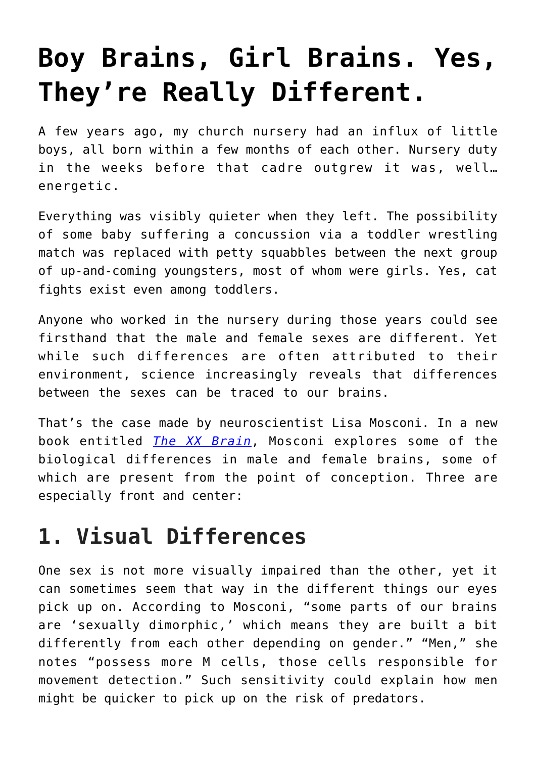## **[Boy Brains, Girl Brains. Yes,](https://intellectualtakeout.org/2020/03/boy-brains-girl-brains-yes-theyre-really-different/) [They're Really Different.](https://intellectualtakeout.org/2020/03/boy-brains-girl-brains-yes-theyre-really-different/)**

A few years ago, my church nursery had an influx of little boys, all born within a few months of each other. Nursery duty in the weeks before that cadre outgrew it was, well… energetic.

Everything was visibly quieter when they left. The possibility of some baby suffering a concussion via a toddler wrestling match was replaced with petty squabbles between the next group of up-and-coming youngsters, most of whom were girls. Yes, cat fights exist even among toddlers.

Anyone who worked in the nursery during those years could see firsthand that the male and female sexes are different. Yet while such differences are often attributed to their environment, science increasingly reveals that differences between the sexes can be traced to our brains.

That's the case made by neuroscientist Lisa Mosconi. In a new book entitled *[The XX Brain](https://www.amazon.com/gp/product/0593083113/ref=as_li_qf_asin_il_tl?ie=UTF8&tag=intelltakeo0d-20&creative=9325&linkCode=as2&creativeASIN=0593083113&linkId=82ffd2ef4afe32e452c961b454c10e39)*, Mosconi explores some of the biological differences in male and female brains, some of which are present from the point of conception. Three are especially front and center:

## **1. Visual Differences**

One sex is not more visually impaired than the other, yet it can sometimes seem that way in the different things our eyes pick up on. According to Mosconi, "some parts of our brains are 'sexually dimorphic,' which means they are built a bit differently from each other depending on gender." "Men," she notes "possess more M cells, those cells responsible for movement detection." Such sensitivity could explain how men might be quicker to pick up on the risk of predators.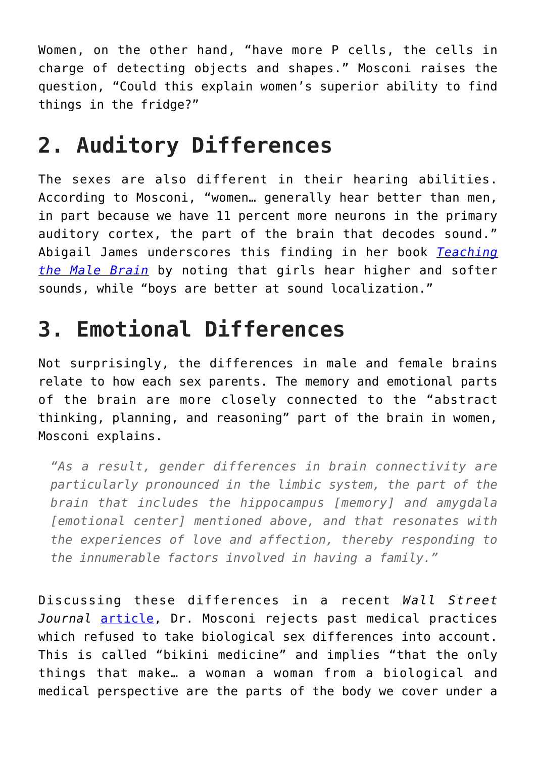Women, on the other hand, "have more P cells, the cells in charge of detecting objects and shapes." Mosconi raises the question, "Could this explain women's superior ability to find things in the fridge?"

## **2. Auditory Differences**

The sexes are also different in their hearing abilities. According to Mosconi, "women… generally hear better than men, in part because we have 11 percent more neurons in the primary auditory cortex, the part of the brain that decodes sound." Abigail James underscores this finding in her book *[Teaching](https://www.amazon.com/gp/product/1483371409/ref=as_li_qf_asin_il_tl?ie=UTF8&tag=intelltakeo0d-20&creative=9325&linkCode=as2&creativeASIN=1483371409&linkId=784d22b90f0213a638514b42e3a7779b) [the Male Brain](https://www.amazon.com/gp/product/1483371409/ref=as_li_qf_asin_il_tl?ie=UTF8&tag=intelltakeo0d-20&creative=9325&linkCode=as2&creativeASIN=1483371409&linkId=784d22b90f0213a638514b42e3a7779b)* by noting that girls hear higher and softer sounds, while "boys are better at sound localization."

## **3. Emotional Differences**

Not surprisingly, the differences in male and female brains relate to how each sex parents. The memory and emotional parts of the brain are more closely connected to the "abstract thinking, planning, and reasoning" part of the brain in women, Mosconi explains.

*"As a result, gender differences in brain connectivity are particularly pronounced in the limbic system, the part of the brain that includes the hippocampus [memory] and amygdala [emotional center] mentioned above, and that resonates with the experiences of love and affection, thereby responding to the innumerable factors involved in having a family."*

Discussing these differences in a recent *Wall Street Journal* [article](https://www.wsj.com/articles/what-makes-the-female-brain-different-11583528929?mod=hp_featst_pos2), Dr. Mosconi rejects past medical practices which refused to take biological sex differences into account. This is called "bikini medicine" and implies "that the only things that make… a woman a woman from a biological and medical perspective are the parts of the body we cover under a